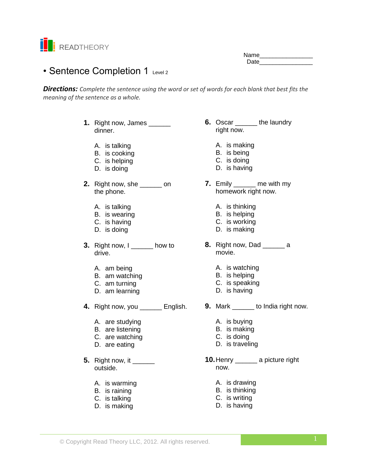

Name Date **Date** 

# • Sentence Completion 1 Level 2

*Directions: Complete the sentence using the word or set of words for each blank that best fits the meaning of the sentence as a whole.*

- **1.** Right now, James dinner.
	- A. is talking
	- B. is cooking
	- C. is helping
	- D. is doing
- **2.** Right now, she \_\_\_\_\_\_ on the phone.
	- A. is talking
	- B. is wearing
	- C. is having
	- D. is doing
- **3.** Right now, I \_\_\_\_\_\_\_ how to drive.
	- A. am being
	- B. am watching
	- C. am turning
	- D. am learning
- **4.** Right now, you \_\_\_\_\_\_ English.
	- A. are studying
	- B. are listening
	- C. are watching
	- D. are eating
- **5.** Right now, it \_\_\_\_\_\_\_ outside.
	- A. is warming
	- B. is raining
	- C. is talking
	- D. is making
- **6.** Oscar the laundry right now.
	- A. is making
	- B. is being
	- C. is doing
	- D. is having
- **7.** Emily \_\_\_\_\_\_ me with my homework right now.
	- A. is thinking
	- B. is helping
	- C. is working
	- D. is making
- **8.** Right now, Dad \_\_\_\_\_\_\_ a movie.
	- A. is watching
	- B. is helping
	- C. is speaking
	- D. is having
	- **9.** Mark \_\_\_\_\_\_\_ to India right now.
		- A. is buying
		- B. is making
		- C. is doing
		- D. is traveling
	- **10.**Henry \_\_\_\_\_\_ a picture right now.
		- A. is drawing
		- B. is thinking
		- C. is writing
		- D. is having